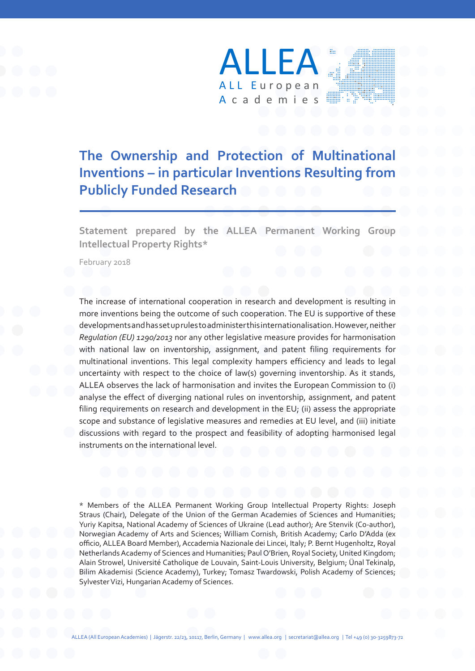

### **The Ownership and Protection of Multinational Inventions – in particular Inventions Resulting from Publicly Funded Research**

**Statement prepared by the ALLEA Permanent Working Group Intellectual Property Rights\***

February 2018

The increase of international cooperation in research and development is resulting in more inventions being the outcome of such cooperation. The EU is supportive of these developments and has set up rules to administer this internationalisation. However, neither *Regulation (EU) 1290/2013* nor any other legislative measure provides for harmonisation with national law on inventorship, assignment, and patent filing requirements for multinational inventions. This legal complexity hampers efficiency and leads to legal uncertainty with respect to the choice of law(s) governing inventorship. As it stands, ALLEA observes the lack of harmonisation and invites the European Commission to (i) analyse the effect of diverging national rules on inventorship, assignment, and patent filing requirements on research and development in the EU; (ii) assess the appropriate scope and substance of legislative measures and remedies at EU level, and (iii) initiate discussions with regard to the prospect and feasibility of adopting harmonised legal instruments on the international level.

\* Members of the ALLEA Permanent Working Group Intellectual Property Rights: Joseph Straus (Chair), Delegate of the Union of the German Academies of Sciences and Humanities; Yuriy Kapitsa, National Academy of Sciences of Ukraine (Lead author); Are Stenvik (Co-author), Norwegian Academy of Arts and Sciences; William Cornish, British Academy; Carlo D'Adda (ex officio, ALLEA Board Member), Accademia Nazionale dei Lincei, Italy; P. Bernt Hugenholtz, Royal Netherlands Academy of Sciences and Humanities; Paul O'Brien, Royal Society, United Kingdom; Alain Strowel, Université Catholique de Louvain, Saint-Louis University, Belgium; Ünal Tekinalp, Bilim Akademisi (Science Academy), Turkey; Tomasz Twardowski, Polish Academy of Sciences; Sylvester Vizi, Hungarian Academy of Sciences.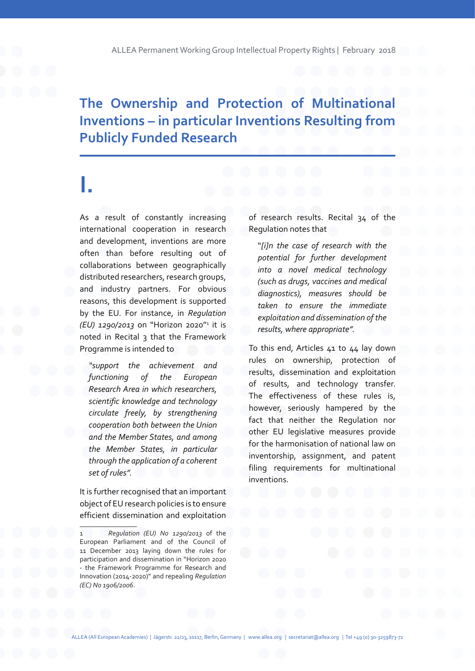#### **The Ownership and Protection of Multinational Inventions – in particular Inventions Resulting from Publicly Funded Research**

### **I.**

As a result of constantly increasing international cooperation in research and development, inventions are more often than before resulting out of collaborations between geographically distributed researchers, research groups, and industry partners. For obvious reasons, this development is supported by the EU. For instance, in *Regulation (EU) 1290/2013* on "Horizon 2020"<sup>1</sup> it is noted in Recital 3 that the Framework Programme is intended to

*"support the achievement and functioning of the European Research Area in which researchers, scientific knowledge and technology circulate freely, by strengthening cooperation both between the Union and the Member States, and among the Member States, in particular through the application of a coherent set of rules".*

It is further recognised that an important object of EU research policies is to ensure efficient dissemination and exploitation

of research results. Recital 34 of the Regulation notes that

"*[i]n the case of research with the potential for further development into a novel medical technology (such as drugs, vaccines and medical diagnostics), measures should be taken to ensure the immediate exploitation and dissemination of the results, where appropriate".*

To this end, Articles 41 to 44 lay down rules on ownership, protection of results, dissemination and exploitation of results, and technology transfer. The effectiveness of these rules is, however, seriously hampered by the fact that neither the Regulation nor other EU legislative measures provide for the harmonisation of national law on inventorship, assignment, and patent filing requirements for multinational inventions.

<sup>1</sup> *Regulation (EU) No 1290/2013* of the European Parliament and of the Council of 11 December 2013 laying down the rules for participation and dissemination in "Horizon 2020 - the Framework Programme for Research and Innovation (2014-2020)" and repealing *Regulation (EC) No 1906/2006*.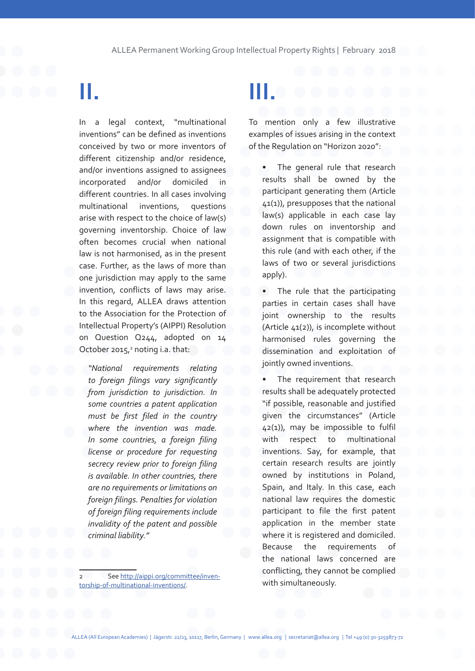## **II.**

In a legal context, "multinational inventions" can be defined as inventions conceived by two or more inventors of different citizenship and/or residence, and/or inventions assigned to assignees incorporated and/or domiciled in different countries. In all cases involving multinational inventions, questions arise with respect to the choice of law(s) governing inventorship. Choice of law often becomes crucial when national law is not harmonised, as in the present case. Further, as the laws of more than one jurisdiction may apply to the same invention, conflicts of laws may arise. In this regard, ALLEA draws attention to the Association for the Protection of Intellectual Property's (AIPPI) Resolution on Question Q244, adopted on 14 October 2015,<sup>2</sup> noting i.a. that:

*"National requirements relating to foreign filings vary significantly from jurisdiction to jurisdiction. In some countries a patent application must be first filed in the country where the invention was made. In some countries, a foreign filing license or procedure for requesting secrecy review prior to foreign filing is available. In other countries, there are no requirements or limitations on foreign filings. Penalties for violation of foreign filing requirements include invalidity of the patent and possible criminal liability."*

## **III.**

To mention only a few illustrative examples of issues arising in the context of the Regulation on "Horizon 2020":

The general rule that research results shall be owned by the participant generating them (Article 41(1)), presupposes that the national law(s) applicable in each case lay down rules on inventorship and assignment that is compatible with this rule (and with each other, if the laws of two or several jurisdictions apply).

• The rule that the participating parties in certain cases shall have joint ownership to the results (Article 41(2)), is incomplete without harmonised rules governing the dissemination and exploitation of jointly owned inventions.

The requirement that research results shall be adequately protected "if possible, reasonable and justified given the circumstances" (Article 42(1)), may be impossible to fulfil with respect to multinational inventions. Say, for example, that certain research results are jointly owned by institutions in Poland, Spain, and Italy. In this case, each national law requires the domestic participant to file the first patent application in the member state where it is registered and domiciled. Because the requirements of the national laws concerned are conflicting, they cannot be complied with simultaneously.

See http://aippi.org/committee/inventorship-of-multinational-inventions/.